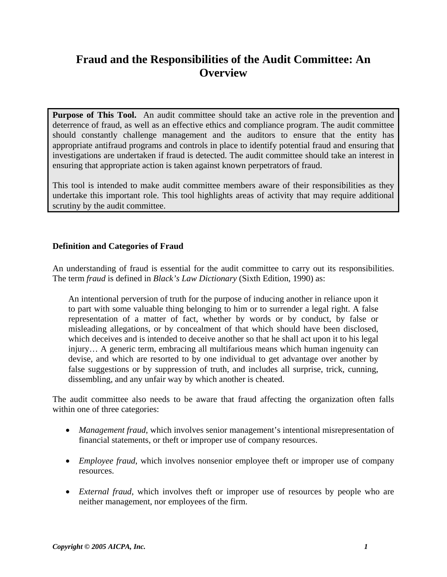# **Fraud and the Responsibilities of the Audit Committee: An Overview**

**Purpose of This Tool.** An audit committee should take an active role in the prevention and deterrence of fraud, as well as an effective ethics and compliance program. The audit committee should constantly challenge management and the auditors to ensure that the entity has appropriate antifraud programs and controls in place to identify potential fraud and ensuring that investigations are undertaken if fraud is detected. The audit committee should take an interest in ensuring that appropriate action is taken against known perpetrators of fraud.

This tool is intended to make audit committee members aware of their responsibilities as they undertake this important role. This tool highlights areas of activity that may require additional scrutiny by the audit committee.

### **Definition and Categories of Fraud**

An understanding of fraud is essential for the audit committee to carry out its responsibilities. The term *fraud* is defined in *Black's Law Dictionary* (Sixth Edition, 1990) as:

An intentional perversion of truth for the purpose of inducing another in reliance upon it to part with some valuable thing belonging to him or to surrender a legal right. A false representation of a matter of fact, whether by words or by conduct, by false or misleading allegations, or by concealment of that which should have been disclosed, which deceives and is intended to deceive another so that he shall act upon it to his legal injury… A generic term, embracing all multifarious means which human ingenuity can devise, and which are resorted to by one individual to get advantage over another by false suggestions or by suppression of truth, and includes all surprise, trick, cunning, dissembling, and any unfair way by which another is cheated.

The audit committee also needs to be aware that fraud affecting the organization often falls within one of three categories:

- *Management fraud*, which involves senior management's intentional misrepresentation of financial statements, or theft or improper use of company resources.
- *Employee fraud*, which involves nonsenior employee theft or improper use of company resources.
- *External fraud*, which involves theft or improper use of resources by people who are neither management, nor employees of the firm.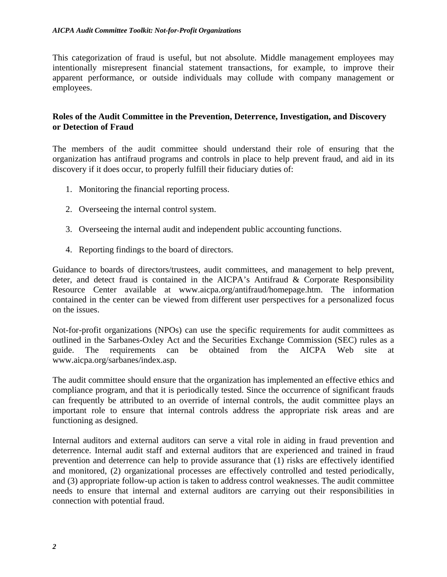This categorization of fraud is useful, but not absolute. Middle management employees may intentionally misrepresent financial statement transactions, for example, to improve their apparent performance, or outside individuals may collude with company management or employees.

### **Roles of the Audit Committee in the Prevention, Deterrence, Investigation, and Discovery or Detection of Fraud**

The members of the audit committee should understand their role of ensuring that the organization has antifraud programs and controls in place to help prevent fraud, and aid in its discovery if it does occur, to properly fulfill their fiduciary duties of:

- 1. Monitoring the financial reporting process.
- 2. Overseeing the internal control system.
- 3. Overseeing the internal audit and independent public accounting functions.
- 4. Reporting findings to the board of directors.

Guidance to boards of directors/trustees, audit committees, and management to help prevent, deter, and detect fraud is contained in the AICPA's Antifraud & Corporate Responsibility Resource Center available at www.aicpa.org/antifraud/homepage.htm. The information contained in the center can be viewed from different user perspectives for a personalized focus on the issues.

Not-for-profit organizations (NPOs) can use the specific requirements for audit committees as outlined in the Sarbanes-Oxley Act and the Securities Exchange Commission (SEC) rules as a guide. The requirements can be obtained from the AICPA Web site at www.aicpa.org/sarbanes/index.asp.

The audit committee should ensure that the organization has implemented an effective ethics and compliance program, and that it is periodically tested. Since the occurrence of significant frauds can frequently be attributed to an override of internal controls, the audit committee plays an important role to ensure that internal controls address the appropriate risk areas and are functioning as designed.

Internal auditors and external auditors can serve a vital role in aiding in fraud prevention and deterrence. Internal audit staff and external auditors that are experienced and trained in fraud prevention and deterrence can help to provide assurance that (1) risks are effectively identified and monitored, (2) organizational processes are effectively controlled and tested periodically, and (3) appropriate follow-up action is taken to address control weaknesses. The audit committee needs to ensure that internal and external auditors are carrying out their responsibilities in connection with potential fraud.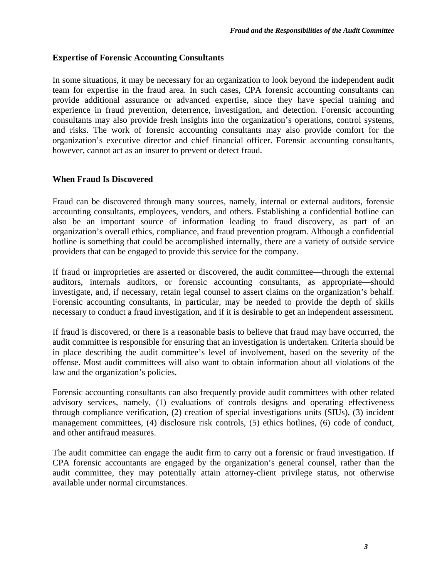### **Expertise of Forensic Accounting Consultants**

In some situations, it may be necessary for an organization to look beyond the independent audit team for expertise in the fraud area. In such cases, CPA forensic accounting consultants can provide additional assurance or advanced expertise, since they have special training and experience in fraud prevention, deterrence, investigation, and detection. Forensic accounting consultants may also provide fresh insights into the organization's operations, control systems, and risks. The work of forensic accounting consultants may also provide comfort for the organization's executive director and chief financial officer. Forensic accounting consultants, however, cannot act as an insurer to prevent or detect fraud.

### **When Fraud Is Discovered**

Fraud can be discovered through many sources, namely, internal or external auditors, forensic accounting consultants, employees, vendors, and others. Establishing a confidential hotline can also be an important source of information leading to fraud discovery, as part of an organization's overall ethics, compliance, and fraud prevention program. Although a confidential hotline is something that could be accomplished internally, there are a variety of outside service providers that can be engaged to provide this service for the company.

If fraud or improprieties are asserted or discovered, the audit committee—through the external auditors, internals auditors, or forensic accounting consultants, as appropriate—should investigate, and, if necessary, retain legal counsel to assert claims on the organization's behalf. Forensic accounting consultants, in particular, may be needed to provide the depth of skills necessary to conduct a fraud investigation, and if it is desirable to get an independent assessment.

If fraud is discovered, or there is a reasonable basis to believe that fraud may have occurred, the audit committee is responsible for ensuring that an investigation is undertaken. Criteria should be in place describing the audit committee's level of involvement, based on the severity of the offense. Most audit committees will also want to obtain information about all violations of the law and the organization's policies.

Forensic accounting consultants can also frequently provide audit committees with other related advisory services, namely, (1) evaluations of controls designs and operating effectiveness through compliance verification, (2) creation of special investigations units (SIUs), (3) incident management committees, (4) disclosure risk controls, (5) ethics hotlines, (6) code of conduct, and other antifraud measures.

The audit committee can engage the audit firm to carry out a forensic or fraud investigation. If CPA forensic accountants are engaged by the organization's general counsel, rather than the audit committee, they may potentially attain attorney-client privilege status, not otherwise available under normal circumstances.